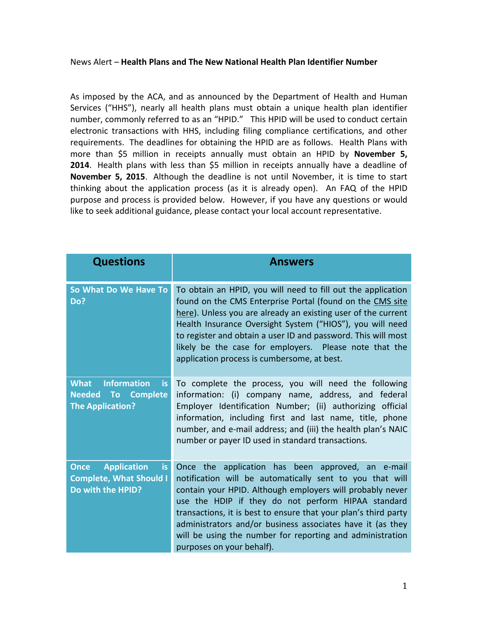## News Alert – **Health Plans and The New National Health Plan Identifier Number**

As imposed by the ACA, and as announced by the Department of Health and Human Services ("HHS"), nearly all health plans must obtain a unique health plan identifier number, commonly referred to as an "HPID." This HPID will be used to conduct certain electronic transactions with HHS, including filing compliance certifications, and other requirements. The deadlines for obtaining the HPID are as follows. Health Plans with more than \$5 million in receipts annually must obtain an HPID by **November 5, 2014**. Health plans with less than \$5 million in receipts annually have a deadline of **November 5, 2015**. Although the deadline is not until November, it is time to start thinking about the application process (as it is already open). An FAQ of the HPID purpose and process is provided below. However, if you have any questions or would like to seek additional guidance, please contact your local account representative.

| <b>Questions</b>                                                                                | <b>Answers</b>                                                                                                                                                                                                                                                                                                                                                                                                                                              |
|-------------------------------------------------------------------------------------------------|-------------------------------------------------------------------------------------------------------------------------------------------------------------------------------------------------------------------------------------------------------------------------------------------------------------------------------------------------------------------------------------------------------------------------------------------------------------|
| So What Do We Have To<br>Do?                                                                    | To obtain an HPID, you will need to fill out the application<br>found on the CMS Enterprise Portal (found on the CMS site<br>here). Unless you are already an existing user of the current<br>Health Insurance Oversight System ("HIOS"), you will need<br>to register and obtain a user ID and password. This will most<br>likely be the case for employers. Please note that the<br>application process is cumbersome, at best.                           |
| <b>Information</b><br><b>What</b><br>is<br><b>Needed To Complete</b><br><b>The Application?</b> | To complete the process, you will need the following<br>information: (i) company name, address, and federal<br>Employer Identification Number; (ii) authorizing official<br>information, including first and last name, title, phone<br>number, and e-mail address; and (iii) the health plan's NAIC<br>number or payer ID used in standard transactions.                                                                                                   |
| <b>Application</b><br><b>Once</b><br>is<br><b>Complete, What Should I</b><br>Do with the HPID?  | Once the application has been approved, an e-mail<br>notification will be automatically sent to you that will<br>contain your HPID. Although employers will probably never<br>use the HDIP if they do not perform HIPAA standard<br>transactions, it is best to ensure that your plan's third party<br>administrators and/or business associates have it (as they<br>will be using the number for reporting and administration<br>purposes on your behalf). |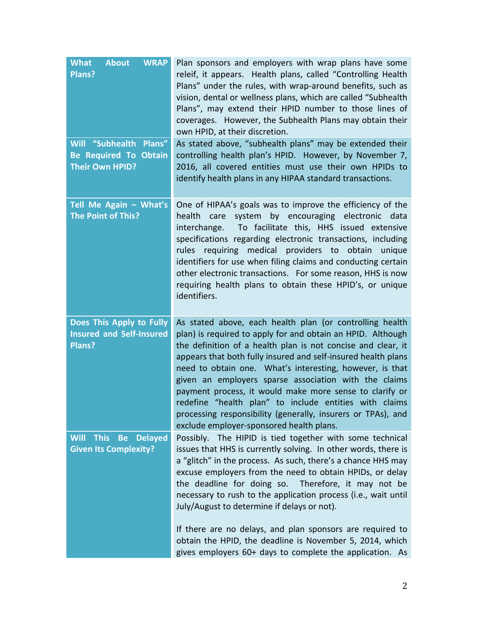| <b>WRAP</b><br><b>What</b><br><b>About</b><br>Plans?                                       | Plan sponsors and employers with wrap plans have some<br>releif, it appears. Health plans, called "Controlling Health<br>Plans" under the rules, with wrap-around benefits, such as<br>vision, dental or wellness plans, which are called "Subhealth<br>Plans", may extend their HPID number to those lines of<br>coverages. However, the Subhealth Plans may obtain their<br>own HPID, at their discretion.                                                                                                                                                                                                   |
|--------------------------------------------------------------------------------------------|----------------------------------------------------------------------------------------------------------------------------------------------------------------------------------------------------------------------------------------------------------------------------------------------------------------------------------------------------------------------------------------------------------------------------------------------------------------------------------------------------------------------------------------------------------------------------------------------------------------|
| <b>Will "Subhealth</b><br>Plans"<br><b>Be Required To Obtain</b><br><b>Their Own HPID?</b> | As stated above, "subhealth plans" may be extended their<br>controlling health plan's HPID. However, by November 7,<br>2016, all covered entities must use their own HPIDs to<br>identify health plans in any HIPAA standard transactions.                                                                                                                                                                                                                                                                                                                                                                     |
| Tell Me Again - What's<br><b>The Point of This?</b>                                        | One of HIPAA's goals was to improve the efficiency of the<br>health care system by encouraging electronic data<br>interchange. To facilitate this, HHS issued extensive<br>specifications regarding electronic transactions, including<br>rules requiring medical providers to obtain unique<br>identifiers for use when filing claims and conducting certain<br>other electronic transactions. For some reason, HHS is now<br>requiring health plans to obtain these HPID's, or unique<br>identifiers.                                                                                                        |
| Does This Apply to Fully<br><b>Insured and Self-Insured</b><br>Plans?                      | As stated above, each health plan (or controlling health<br>plan) is required to apply for and obtain an HPID. Although<br>the definition of a health plan is not concise and clear, it<br>appears that both fully insured and self-insured health plans<br>need to obtain one. What's interesting, however, is that<br>given an employers sparse association with the claims<br>payment process, it would make more sense to clarify or<br>redefine "health plan" to include entities with claims<br>processing responsibility (generally, insurers or TPAs), and<br>exclude employer-sponsored health plans. |
| <b>Will</b><br><b>This</b><br><b>Be</b> Delayed<br><b>Given Its Complexity?</b>            | Possibly. The HIPID is tied together with some technical<br>issues that HHS is currently solving. In other words, there is<br>a "glitch" in the process. As such, there's a chance HHS may<br>excuse employers from the need to obtain HPIDs, or delay<br>the deadline for doing so. Therefore, it may not be<br>necessary to rush to the application process (i.e., wait until<br>July/August to determine if delays or not).                                                                                                                                                                                 |
|                                                                                            | If there are no delays, and plan sponsors are required to<br>obtain the HPID, the deadline is November 5, 2014, which<br>gives employers 60+ days to complete the application. As                                                                                                                                                                                                                                                                                                                                                                                                                              |